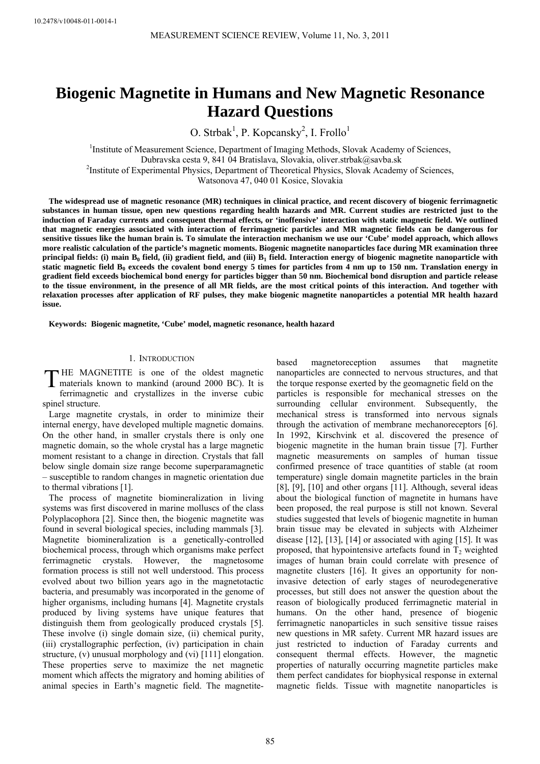# **Biogenic Magnetite in Humans and New Magnetic Resonance Hazard Questions**

O. Strbak<sup>1</sup>, P. Kopcansky<sup>2</sup>, I. Frollo<sup>1</sup>

<sup>1</sup>Institute of Measurement Science, Department of Imaging Methods, Slovak Academy of Sciences, Dubravska cesta 9, 841 04 Bratislava, Slovakia, oliver.strbak@savba.sk Institute of Experimental Physics, Department of Theoretical Physics, Slovak Academy of Sciences, Watsonova 47, 040 01 Kosice, Slovakia

**The widespread use of magnetic resonance (MR) techniques in clinical practice, and recent discovery of biogenic ferrimagnetic substances in human tissue, open new questions regarding health hazards and MR. Current studies are restricted just to the induction of Faraday currents and consequent thermal effects, or 'inoffensive' interaction with static magnetic field. We outlined that magnetic energies associated with interaction of ferrimagnetic particles and MR magnetic fields can be dangerous for sensitive tissues like the human brain is. To simulate the interaction mechanism we use our 'Cube' model approach, which allows more realistic calculation of the particle's magnetic moments. Biogenic magnetite nanoparticles face during MR examination three principal fields: (i) main B<sub>0</sub> field, (ii) gradient field, and (iii) B<sub>1</sub> field. Interaction energy of biogenic magnetite nanoparticle with** static magnetic field  $B_0$  exceeds the covalent bond energy 5 times for particles from 4 nm up to 150 nm. Translation energy in **gradient field exceeds biochemical bond energy for particles bigger than 50 nm. Biochemical bond disruption and particle release to the tissue environment, in the presence of all MR fields, are the most critical points of this interaction. And together with relaxation processes after application of RF pulses, they make biogenic magnetite nanoparticles a potential MR health hazard issue.** 

**Keywords: Biogenic magnetite, 'Cube' model, magnetic resonance, health hazard** 

#### 1. INTRODUCTION

HE MAGNETITE is one of the oldest magnetic THE MAGNETITE is one of the oldest magnetic<br>materials known to mankind (around 2000 BC). It is ferrimagnetic and crystallizes in the inverse cubic spinel structure.

Large magnetite crystals, in order to minimize their internal energy, have developed multiple magnetic domains. On the other hand, in smaller crystals there is only one magnetic domain, so the whole crystal has a large magnetic moment resistant to a change in direction. Crystals that fall below single domain size range become superparamagnetic – susceptible to random changes in magnetic orientation due to thermal vibrations [1].

The process of magnetite biomineralization in living systems was first discovered in marine molluscs of the class Polyplacophora [2]. Since then, the biogenic magnetite was found in several biological species, including mammals [3]. Magnetite biomineralization is a genetically-controlled biochemical process, through which organisms make perfect ferrimagnetic crystals. However, the magnetosome formation process is still not well understood. This process evolved about two billion years ago in the magnetotactic bacteria, and presumably was incorporated in the genome of higher organisms, including humans [4]. Magnetite crystals produced by living systems have unique features that distinguish them from geologically produced crystals [5]. These involve (i) single domain size, (ii) chemical purity, (iii) crystallographic perfection, (iv) participation in chain structure, (v) unusual morphology and (vi) [111] elongation. These properties serve to maximize the net magnetic moment which affects the migratory and homing abilities of animal species in Earth's magnetic field. The magnetitebased magnetoreception assumes that magnetite nanoparticles are connected to nervous structures, and that the torque response exerted by the geomagnetic field on the particles is responsible for mechanical stresses on the surrounding cellular environment. Subsequently, the mechanical stress is transformed into nervous signals through the activation of membrane mechanoreceptors [6]. In 1992, Kirschvink et al. discovered the presence of biogenic magnetite in the human brain tissue [7]. Further magnetic measurements on samples of human tissue confirmed presence of trace quantities of stable (at room temperature) single domain magnetite particles in the brain [8], [9], [10] and other organs [11]. Although, several ideas about the biological function of magnetite in humans have been proposed, the real purpose is still not known. Several studies suggested that levels of biogenic magnetite in human brain tissue may be elevated in subjects with Alzheimer disease [12], [13], [14] or associated with aging [15]. It was proposed, that hypointensive artefacts found in  $T_2$  weighted images of human brain could correlate with presence of magnetite clusters [16]. It gives an opportunity for noninvasive detection of early stages of neurodegenerative processes, but still does not answer the question about the reason of biologically produced ferrimagnetic material in humans. On the other hand, presence of biogenic ferrimagnetic nanoparticles in such sensitive tissue raises new questions in MR safety. Current MR hazard issues are just restricted to induction of Faraday currents and consequent thermal effects. However, the magnetic properties of naturally occurring magnetite particles make them perfect candidates for biophysical response in external magnetic fields. Tissue with magnetite nanoparticles is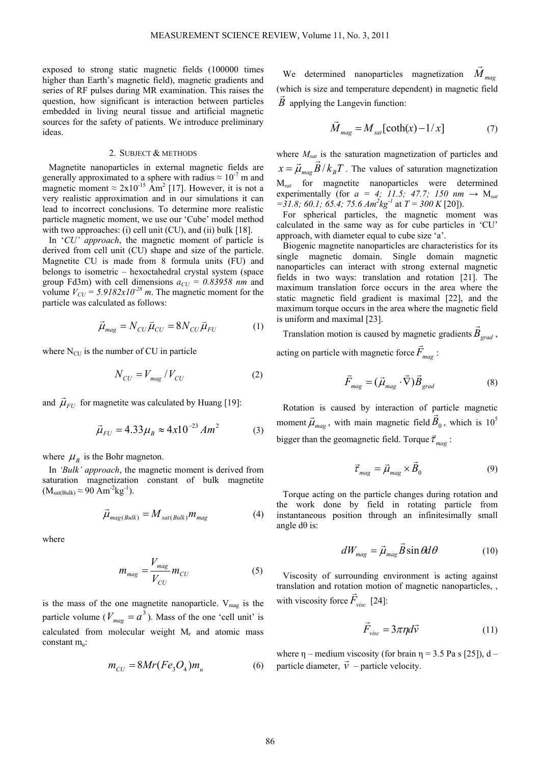exposed to strong static magnetic fields (100000 times higher than Earth's magnetic field), magnetic gradients and series of RF pulses during MR examination. This raises the question, how significant is interaction between particles embedded in living neural tissue and artificial magnetic sources for the safety of patients. We introduce preliminary ideas.

## 2. SUBJECT & METHODS

Magnetite nanoparticles in external magnetic fields are generally approximated to a sphere with radius  $\approx 10^{-7}$  m and magnetic moment  $\approx 2x10^{-15}$  Am<sup>2</sup> [17]. However, it is not a very realistic approximation and in our simulations it can lead to incorrect conclusions. To determine more realistic particle magnetic moment, we use our 'Cube' model method with two approaches: (i) cell unit (CU), and (ii) bulk [18].

In '*CU' approach*, the magnetic moment of particle is derived from cell unit (CU) shape and size of the particle. Magnetite CU is made from 8 formula units (FU) and belongs to isometric – hexoctahedral crystal system (space group Fd3m) with cell dimensions  $a_{CU} = 0.83958$  nm and volume  $V_{CU} = 5.9182x10^{-28}$  m. The magnetic moment for the particle was calculated as follows:

$$
\vec{\mu}_{mag} = N_{CU}\vec{\mu}_{CU} = 8N_{CU}\vec{\mu}_{FU} \tag{1}
$$

where  $N_{\text{CU}}$  is the number of CU in particle

$$
N_{CU} = V_{mag} / V_{CU}
$$
 (2)

and  $\vec{\mu}_{FU}$  for magnetite was calculated by Huang [19]:

$$
\vec{\mu}_{FU} = 4.33 \mu_B \approx 4x10^{-23} A m^2 \tag{3}
$$

where  $\mu_{B}$  is the Bohr magneton.

In *'Bulk' approach*, the magnetic moment is derived from saturation magnetization constant of bulk magnetite  $(M_{sat(Bulk)} \approx 90$  Am<sup>-2</sup>kg<sup>-1</sup>).

$$
\vec{\mu}_{mag(Bulk)} = M_{sat(Bulk)} m_{mag}
$$
 (4)

where

$$
m_{mag} = \frac{V_{mag}}{V_{CU}} m_{CU}
$$
 (5)

is the mass of the one magnetite nanoparticle.  $V_{mag}$  is the particle volume ( $V_{\text{mac}} = a^3$ ). Mass of the one 'cell unit' is calculated from molecular weight M<sub>r</sub> and atomic mass constant m.:

$$
m_{CU} = 8Mr(Fe3O4)mu
$$
 (6)

We determined nanoparticles magnetization  $\dot{M}_{mag}$  $\overline{a}$ (which is size and temperature dependent) in magnetic field *B*  $\vec{B}$  applying the Langevin function:

$$
\vec{M}_{mag} = M_{sat} \left[ \coth(x) - 1/x \right] \tag{7}
$$

where  $M_{sat}$  is the saturation magnetization of particles and  $x = \vec{\mu}_{max} \vec{B}/k_B T$ . The values of saturation magnetization M*sat* for magnetite nanoparticles were determined experimentally (for  $a = 4$ ; 11.5; 47.7; 150 nm  $\rightarrow$  M<sub>sat</sub>  $=$ 31.8; 60.1; 65.4; 75.6  $Am^2kg^{-1}$  at  $T = 300 K$  [20]).

For spherical particles, the magnetic moment was calculated in the same way as for cube particles in 'CU' approach, with diameter equal to cube size 'a'.

Biogenic magnetite nanoparticles are characteristics for its single magnetic domain. Single domain magnetic nanoparticles can interact with strong external magnetic fields in two ways: translation and rotation [21]. The maximum translation force occurs in the area where the static magnetic field gradient is maximal [22], and the maximum torque occurs in the area where the magnetic field is uniform and maximal [23].

Translation motion is caused by magnetic gradients  $\vec{B}_{grad}$ , acting on particle with magnetic force  $\vec{F}_{mag}$ :

$$
\vec{F}_{mag} = (\vec{\mu}_{mag} \cdot \vec{\nabla}) \vec{B}_{grad}
$$
 (8)

Rotation is caused by interaction of particle magnetic moment  $\vec{\mu}_{mag}$ , with main magnetic field  $\vec{B}_0$ , which is 10<sup>5</sup> bigger than the geomagnetic field. Torque  $\vec{\tau}_{mag}$ :

$$
\vec{\tau}_{mag} = \vec{\mu}_{mag} \times \vec{B}_0 \tag{9}
$$

Torque acting on the particle changes during rotation and the work done by field in rotating particle from instantaneous position through an infinitesimally small angle  $d\theta$  is:

$$
dW_{mag} = \vec{\mu}_{mag} \vec{B} \sin \theta d\theta \qquad (10)
$$

Viscosity of surrounding environment is acting against translation and rotation motion of magnetic nanoparticles, , with viscosity force  $\vec{F}_{visc}$  [24]:

$$
\vec{F}_{\text{visc}} = 3\pi \eta d\vec{v} \tag{11}
$$

where  $\eta$  – medium viscosity (for brain  $\eta$  = 3.5 Pa s [25]), d – particle diameter,  $\vec{v}$  – particle velocity.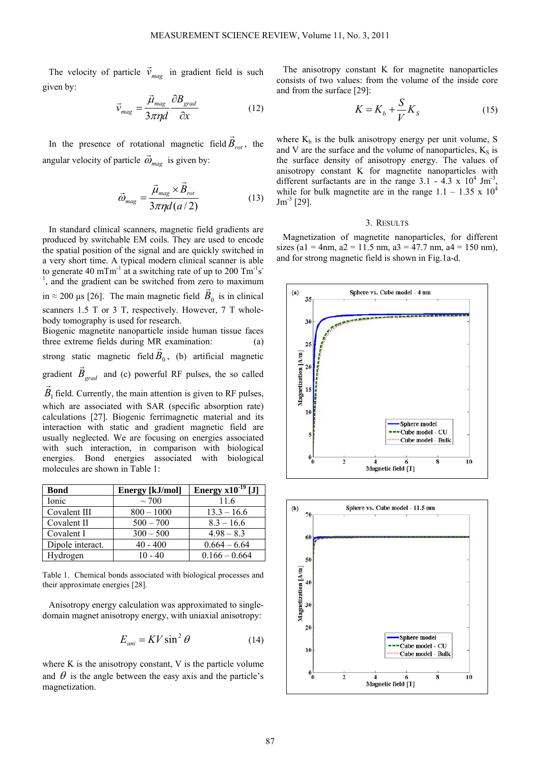The velocity of particle  $\vec{v}_{mag}$  in gradient field is such given by:

$$
\vec{v}_{mag} = \frac{\vec{\mu}_{mag}}{3\pi\eta d} \frac{\partial B_{grad}}{\partial x}
$$
 (12)

In the presence of rotational magnetic field  $\vec{B}_{rot}$ , the angular velocity of particle  $\vec{\omega}_{mag}$  is given by:

$$
\vec{\omega}_{mag} = \frac{\vec{\mu}_{mag} \times \vec{B}_{rot}}{3\pi \eta d (a/2)}
$$
(13)

In standard clinical scanners, magnetic field gradients are produced by switchable EM coils. They are used to encode the spatial position of the signal and are quickly switched in a very short time. A typical modern clinical scanner is able to generate 40 mTm<sup>-1</sup> at a switching rate of up to 200 Tm<sup>-1</sup>s<sup>-1</sup> <sup>1</sup>, and the gradient can be switched from zero to maximum in  $\approx$  200 µs [26]. The main magnetic field  $\vec{B}_0$  is in clinical scanners 1.5 T or 3 T, respectively. However, 7 T wholebody tomography is used for research.

Biogenic magnetite nanoparticle inside human tissue faces three extreme fields during MR examination: (a) strong static magnetic field  $\vec{B}_0$ , (b) artificial magnetic gradient  $\vec{B}_{grad}$  and (c) powerful RF pulses, the so called  $B<sub>1</sub>$  $\vec{B}_1$  field. Currently, the main attention is given to RF pulses, which are associated with SAR (specific absorption rate) calculations [27]. Biogenic ferrimagnetic material and its interaction with static and gradient magnetic field are

usually neglected. We are focusing on energies associated with such interaction, in comparison with biological energies. Bond energies associated with biological molecules are shown in Table 1:

| <b>Bond</b>      | Energy [kJ/mol] | Energy $x10^{-19}$ [J] |
|------------------|-----------------|------------------------|
| Ionic            | $\sim$ 700      | 11.6                   |
| Covalent III     | $800 - 1000$    | $13.3 - 16.6$          |
| Covalent II      | $500 - 700$     | $8.3 - 16.6$           |
| Covalent I       | $300 - 500$     | $4.98 - 8.3$           |
| Dipole interact. | $40 - 400$      | $0.664 - 6.64$         |
| Hydrogen         | $10 - 40$       | $0.166 - 0.664$        |

Table 1. Chemical bonds associated with biological processes and their approximate energies [28].

Anisotropy energy calculation was approximated to singledomain magnet anisotropy energy, with uniaxial anisotropy:

$$
E_{ani} = KV \sin^2 \theta \tag{14}
$$

where K is the anisotropy constant, V is the particle volume and  $\theta$  is the angle between the easy axis and the particle's magnetization.

The anisotropy constant K for magnetite nanoparticles consists of two values: from the volume of the inside core and from the surface [29]:

$$
K = K_b + \frac{S}{V} K_S \tag{15}
$$

where  $K_b$  is the bulk anisotropy energy per unit volume, S and V are the surface and the volume of nanoparticles,  $K<sub>S</sub>$  is the surface density of anisotropy energy. The values of anisotropy constant K for magnetite nanoparticles with different surfactants are in the range  $3.1 - 4.3 \times 10^4$  Jm<sup>-3</sup>, while for bulk magnetite are in the range  $1.1 - 1.35 \times 10^4$  $\text{Jm}^{-3}$  [29].

#### 3. RESULTS

Magnetization of magnetite nanoparticles, for different sizes (a1 = 4nm, a2 = 11.5 nm, a3 = 47.7 nm, a4 = 150 nm), and for strong magnetic field is shown in Fig.1a-d.



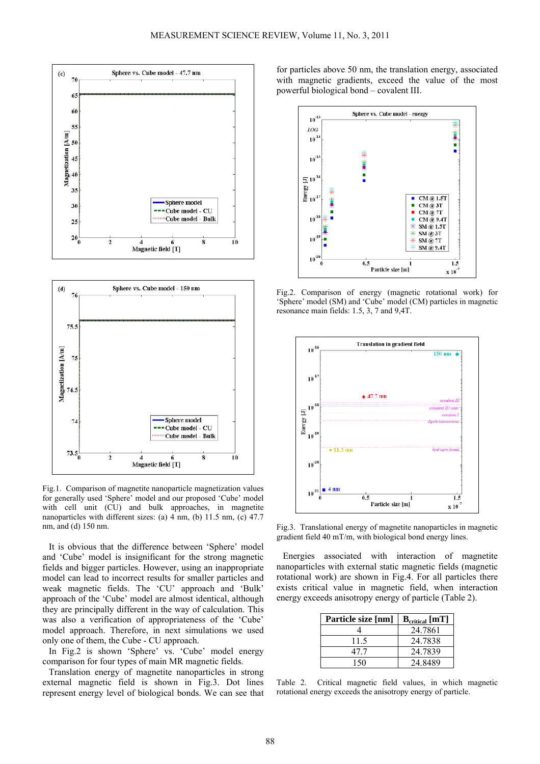



Fig.1. Comparison of magnetite nanoparticle magnetization values for generally used 'Sphere' model and our proposed 'Cube' model with cell unit (CU) and bulk approaches, in magnetite nanoparticles with different sizes: (a) 4 nm, (b) 11.5 nm, (c) 47.7 nm, and (d) 150 nm.

It is obvious that the difference between 'Sphere' model and 'Cube' model is insignificant for the strong magnetic fields and bigger particles. However, using an inappropriate model can lead to incorrect results for smaller particles and weak magnetic fields. The 'CU' approach and 'Bulk' approach of the 'Cube' model are almost identical, although they are principally different in the way of calculation. This was also a verification of appropriateness of the 'Cube' model approach. Therefore, in next simulations we used only one of them, the Cube - CU approach.

In Fig.2 is shown 'Sphere' vs. 'Cube' model energy comparison for four types of main MR magnetic fields.

Translation energy of magnetite nanoparticles in strong external magnetic field is shown in Fig.3. Dot lines represent energy level of biological bonds. We can see that for particles above 50 nm, the translation energy, associated with magnetic gradients, exceed the value of the most powerful biological bond – covalent III.



Fig.2. Comparison of energy (magnetic rotational work) for 'Sphere' model (SM) and 'Cube' model (CM) particles in magnetic resonance main fields: 1.5, 3, 7 and 9,4T.



Fig.3. Translational energy of magnetite nanoparticles in magnetic gradient field 40 mT/m, with biological bond energy lines.

Energies associated with interaction of magnetite nanoparticles with external static magnetic fields (magnetic rotational work) are shown in Fig.4. For all particles there exists critical value in magnetic field, when interaction energy exceeds anisotropy energy of particle (Table 2).

| Particle size [nm] | $B_{critical}$ [mT] |
|--------------------|---------------------|
|                    | 24.7861             |
| 11.5               | 24.7838             |
| 47 7               | 24.7839             |
| 150                | 24 8489             |

Table 2. Critical magnetic field values, in which magnetic rotational energy exceeds the anisotropy energy of particle.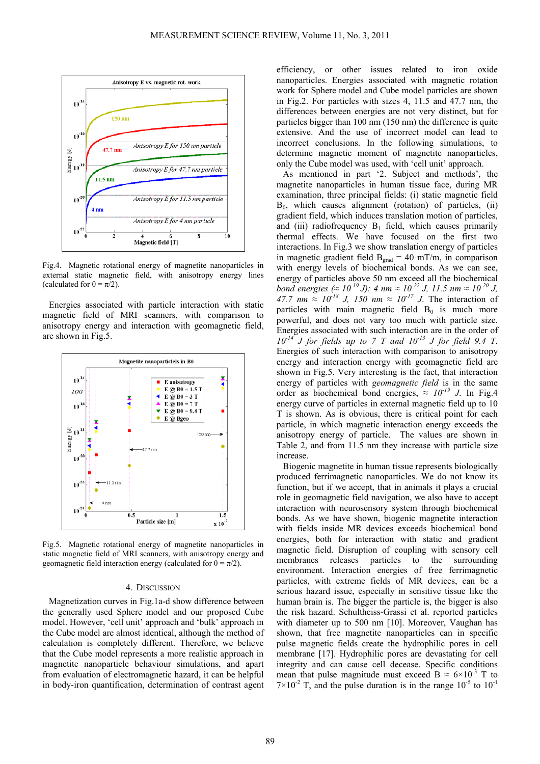

Fig.4. Magnetic rotational energy of magnetite nanoparticles in external static magnetic field, with anisotropy energy lines (calculated for  $\theta = \pi/2$ ).

Energies associated with particle interaction with static magnetic field of MRI scanners, with comparison to anisotropy energy and interaction with geomagnetic field, are shown in Fig.5.



Fig.5. Magnetic rotational energy of magnetite nanoparticles in static magnetic field of MRI scanners, with anisotropy energy and geomagnetic field interaction energy (calculated for  $\theta = \pi/2$ ).

#### 4. DISCUSSION

Magnetization curves in Fig.1a-d show difference between the generally used Sphere model and our proposed Cube model. However, 'cell unit' approach and 'bulk' approach in the Cube model are almost identical, although the method of calculation is completely different. Therefore, we believe that the Cube model represents a more realistic approach in magnetite nanoparticle behaviour simulations, and apart from evaluation of electromagnetic hazard, it can be helpful in body-iron quantification, determination of contrast agent

efficiency, or other issues related to iron oxide nanoparticles. Energies associated with magnetic rotation work for Sphere model and Cube model particles are shown in Fig.2. For particles with sizes 4, 11.5 and 47.7 nm, the differences between energies are not very distinct, but for particles bigger than 100 nm (150 nm) the difference is quite extensive. And the use of incorrect model can lead to incorrect conclusions. In the following simulations, to determine magnetic moment of magnetite nanoparticles, only the Cube model was used, with 'cell unit' approach.

As mentioned in part '2. Subject and methods', the magnetite nanoparticles in human tissue face, during MR examination, three principal fields: (i) static magnetic field  $B_0$ , which causes alignment (rotation) of particles, (ii) gradient field, which induces translation motion of particles, and (iii) radiofrequency  $B_1$  field, which causes primarily thermal effects. We have focused on the first two interactions. In Fig.3 we show translation energy of particles in magnetic gradient field  $B_{grad} = 40$  mT/m, in comparison with energy levels of biochemical bonds. As we can see, energy of particles above 50 nm exceed all the biochemical *bond energies (* $\approx 10^{-19}$  *J):* 4 nm  $\approx 10^{-22}$  *J, 11.5 nm*  $\approx 10^{-20}$  *J, 47.7 nm*  $\approx 10^{-18}$  *J, 150 nm*  $\approx 10^{-17}$  *J*. The interaction of particles with main magnetic field  $B_0$  is much more powerful, and does not vary too much with particle size. Energies associated with such interaction are in the order of *10-14 J for fields up to 7 T and 10-13 J for field 9.4 T*. Energies of such interaction with comparison to anisotropy energy and interaction energy with geomagnetic field are shown in Fig.5. Very interesting is the fact, that interaction energy of particles with *geomagnetic field* is in the same order as biochemical bond energies,  $\approx 10^{-19}$  J. In Fig.4 energy curve of particles in external magnetic field up to 10 T is shown. As is obvious, there is critical point for each particle, in which magnetic interaction energy exceeds the anisotropy energy of particle. The values are shown in Table 2, and from 11.5 nm they increase with particle size increase.

Biogenic magnetite in human tissue represents biologically produced ferrimagnetic nanoparticles. We do not know its function, but if we accept, that in animals it plays a crucial role in geomagnetic field navigation, we also have to accept interaction with neurosensory system through biochemical bonds. As we have shown, biogenic magnetite interaction with fields inside MR devices exceeds biochemical bond energies, both for interaction with static and gradient magnetic field. Disruption of coupling with sensory cell membranes releases particles to the surrounding environment. Interaction energies of free ferrimagnetic particles, with extreme fields of MR devices, can be a serious hazard issue, especially in sensitive tissue like the human brain is. The bigger the particle is, the bigger is also the risk hazard. Schultheiss-Grassi et al. reported particles with diameter up to 500 nm [10]. Moreover, Vaughan has shown, that free magnetite nanoparticles can in specific pulse magnetic fields create the hydrophilic pores in cell membrane [17]. Hydrophilic pores are devastating for cell integrity and can cause cell decease. Specific conditions mean that pulse magnitude must exceed B  $\approx 6 \times 10^{-3}$  T to  $7\times10^{-2}$  T, and the pulse duration is in the range  $10^{-5}$  to  $10^{-1}$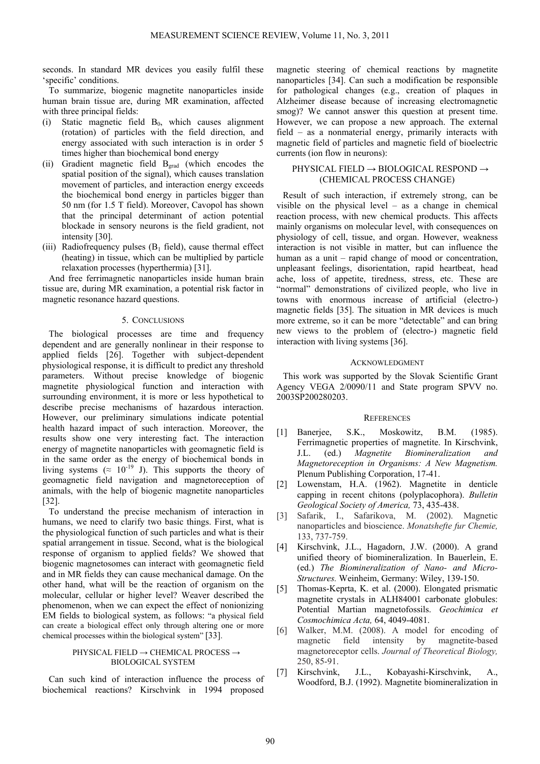seconds. In standard MR devices you easily fulfil these 'specific' conditions.

To summarize, biogenic magnetite nanoparticles inside human brain tissue are, during MR examination, affected with three principal fields:

- (i) Static magnetic field  $B_0$ , which causes alignment (rotation) of particles with the field direction, and energy associated with such interaction is in order 5 times higher than biochemical bond energy
- (ii) Gradient magnetic field Bgrad (which encodes the spatial position of the signal), which causes translation movement of particles, and interaction energy exceeds the biochemical bond energy in particles bigger than 50 nm (for 1.5 T field). Moreover, Cavopol has shown that the principal determinant of action potential blockade in sensory neurons is the field gradient, not intensity [30].
- (iii) Radiofrequency pulses  $(B_1 \text{ field})$ , cause thermal effect (heating) in tissue, which can be multiplied by particle relaxation processes (hyperthermia) [31].

And free ferrimagnetic nanoparticles inside human brain tissue are, during MR examination, a potential risk factor in magnetic resonance hazard questions.

#### 5. CONCLUSIONS

The biological processes are time and frequency dependent and are generally nonlinear in their response to applied fields [26]. Together with subject-dependent physiological response, it is difficult to predict any threshold parameters. Without precise knowledge of biogenic magnetite physiological function and interaction with surrounding environment, it is more or less hypothetical to describe precise mechanisms of hazardous interaction. However, our preliminary simulations indicate potential health hazard impact of such interaction. Moreover, the results show one very interesting fact. The interaction energy of magnetite nanoparticles with geomagnetic field is in the same order as the energy of biochemical bonds in living systems ( $\approx 10^{-19}$  J). This supports the theory of geomagnetic field navigation and magnetoreception of animals, with the help of biogenic magnetite nanoparticles [32].

To understand the precise mechanism of interaction in humans, we need to clarify two basic things. First, what is the physiological function of such particles and what is their spatial arrangement in tissue. Second, what is the biological response of organism to applied fields? We showed that biogenic magnetosomes can interact with geomagnetic field and in MR fields they can cause mechanical damage. On the other hand, what will be the reaction of organism on the molecular, cellular or higher level? Weaver described the phenomenon, when we can expect the effect of nonionizing EM fields to biological system, as follows: "a physical field can create a biological effect only through altering one or more chemical processes within the biological system" [33].

### PHYSICAL FIELD  $\rightarrow$  CHEMICAL PROCESS  $\rightarrow$ BIOLOGICAL SYSTEM

Can such kind of interaction influence the process of biochemical reactions? Kirschvink in 1994 proposed magnetic steering of chemical reactions by magnetite nanoparticles [34]. Can such a modification be responsible for pathological changes (e.g., creation of plaques in Alzheimer disease because of increasing electromagnetic smog)? We cannot answer this question at present time. However, we can propose a new approach. The external field – as a nonmaterial energy, primarily interacts with magnetic field of particles and magnetic field of bioelectric currents (ion flow in neurons):

## PHYSICAL FIELD  $\rightarrow$  BIOLOGICAL RESPOND  $\rightarrow$ (CHEMICAL PROCESS CHANGE)

Result of such interaction, if extremely strong, can be visible on the physical level – as a change in chemical reaction process, with new chemical products. This affects mainly organisms on molecular level, with consequences on physiology of cell, tissue, and organ. However, weakness interaction is not visible in matter, but can influence the human as a unit – rapid change of mood or concentration, unpleasant feelings, disorientation, rapid heartbeat, head ache, loss of appetite, tiredness, stress, etc. These are "normal" demonstrations of civilized people, who live in towns with enormous increase of artificial (electro-) magnetic fields [35]. The situation in MR devices is much more extreme, so it can be more "detectable" and can bring new views to the problem of (electro-) magnetic field interaction with living systems [36].

#### **ACKNOWLEDGMENT**

This work was supported by the Slovak Scientific Grant Agency VEGA 2/0090/11 and State program SPVV no. 2003SP200280203.

#### **REFERENCES**

- [1] Banerjee, S.K., Moskowitz, B.M. (1985). Ferrimagnetic properties of magnetite. In Kirschvink, J.L. (ed.) *Magnetite Biomineralization and Magnetoreception in Organisms: A New Magnetism.* Plenum Publishing Corporation, 17-41.
- [2] Lowenstam, H.A. (1962). Magnetite in denticle capping in recent chitons (polyplacophora). *Bulletin Geological Society of America,* 73, 435-438.
- [3] Safarik, I., Safarikova, M. (2002). Magnetic nanoparticles and bioscience. *Monatshefte fur Chemie,* 133, 737-759.
- [4] Kirschvink, J.L., Hagadorn, J.W. (2000). A grand unified theory of biomineralization. In Bauerlein, E. (ed.) *The Biomineralization of Nano- and Micro-Structures.* Weinheim, Germany: Wiley, 139-150.
- [5] Thomas-Keprta, K. et al. (2000). Elongated prismatic magnetite crystals in ALH84001 carbonate globules: Potential Martian magnetofossils. *Geochimica et Cosmochimica Acta,* 64, 4049-4081.
- [6] Walker, M.M. (2008). A model for encoding of magnetic field intensity by magnetite-based magnetoreceptor cells. *Journal of Theoretical Biology,* 250, 85-91.
- [7] Kirschvink, J.L., Kobayashi-Kirschvink, A., Woodford, B.J. (1992). Magnetite biomineralization in